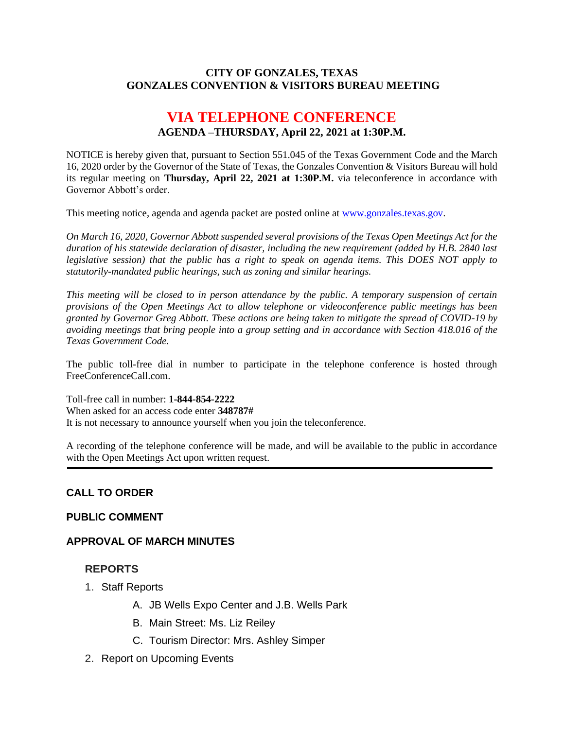#### **CITY OF GONZALES, TEXAS GONZALES CONVENTION & VISITORS BUREAU MEETING**

# **VIA TELEPHONE CONFERENCE AGENDA –THURSDAY, April 22, 2021 at 1:30P.M.**

NOTICE is hereby given that, pursuant to Section 551.045 of the Texas Government Code and the March 16, 2020 order by the Governor of the State of Texas, the Gonzales Convention & Visitors Bureau will hold its regular meeting on **Thursday, April 22, 2021 at 1:30P.M.** via teleconference in accordance with Governor Abbott's order.

This meeting notice, agenda and agenda packet are posted online at [www.gonzales.texas.gov.](http://www.gonzales.texas.gov/)

*On March 16, 2020, Governor Abbott suspended several provisions of the Texas Open Meetings Act for the duration of his statewide declaration of disaster, including the new requirement (added by H.B. 2840 last legislative session) that the public has a right to speak on agenda items. This DOES NOT apply to statutorily-mandated public hearings, such as zoning and similar hearings.* 

*This meeting will be closed to in person attendance by the public. A temporary suspension of certain provisions of the Open Meetings Act to allow telephone or videoconference public meetings has been granted by Governor Greg Abbott. These actions are being taken to mitigate the spread of COVID-19 by avoiding meetings that bring people into a group setting and in accordance with Section 418.016 of the Texas Government Code.*

The public toll-free dial in number to participate in the telephone conference is hosted through FreeConferenceCall.com.

Toll-free call in number: **1-844-854-2222**

When asked for an access code enter **348787#**

It is not necessary to announce yourself when you join the teleconference.

A recording of the telephone conference will be made, and will be available to the public in accordance with the Open Meetings Act upon written request.

## **CALL TO ORDER**

#### **PUBLIC COMMENT**

#### **APPROVAL OF MARCH MINUTES**

#### **REPORTS**

- 1. Staff Reports
	- A. JB Wells Expo Center and J.B. Wells Park
	- B. Main Street: Ms. Liz Reiley
	- C. Tourism Director: Mrs. Ashley Simper
- 2. Report on Upcoming Events